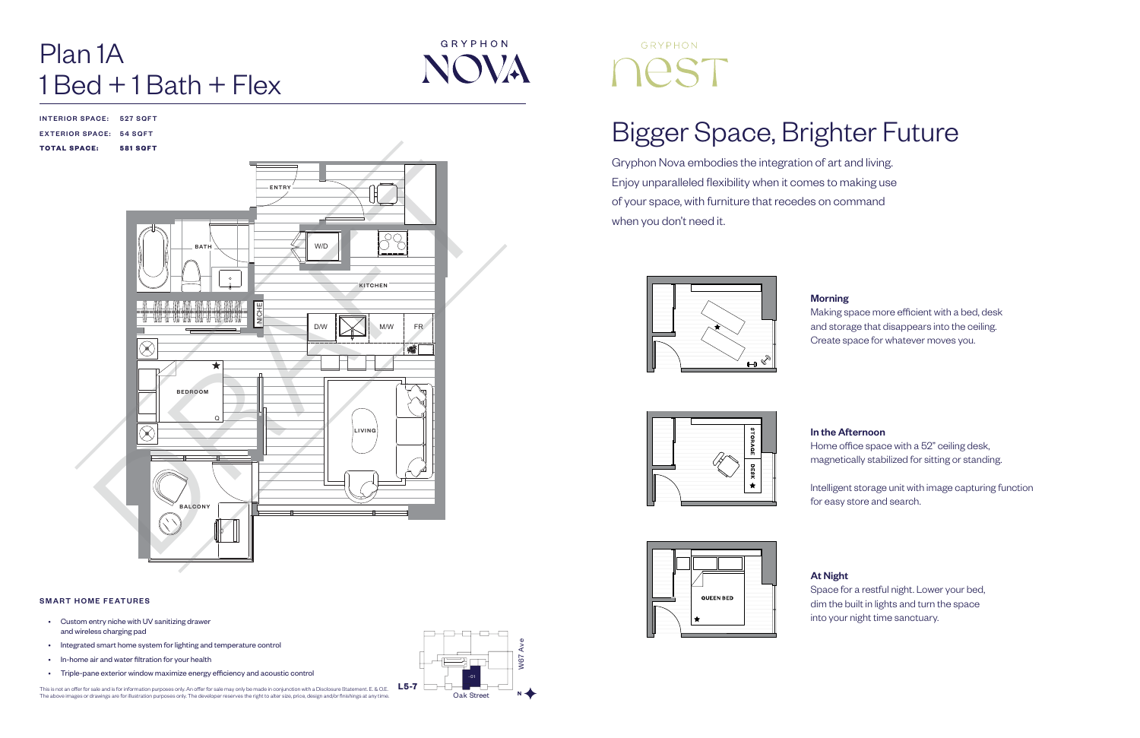# Bigger Space, Brighter Future

Gryphon Nova embodies the integration of art and living. Enjoy unparalleled flexibility when it comes to making use of your space, with furniture that recedes on command when you don't need it.









Making space more efficient with a bed, desk and storage that disappears into the ceiling. Create space for whatever moves you.

# Plan 1A  $1$  Bed  $+$  1 Bath  $+$  Flex

### In the Afternoon

Home office space with a 52" ceiling desk, magnetically stabilized for sitting or standing.

Intelligent storage unit with image capturing function for easy store and search.

At Night

Space for a restful night. Lower your bed, dim the built in lights and turn the space into your night time sanctuary.

INTERIOR SPACE: 527 SQFT

### EXTERIOR SPACE: 54 SQFT

TOTAL SPACE: 581 SQFT







### SMART HOME FEATURES



- Custom entry niche with UV sanitizing drawer and wireless charging pad
- Integrated smart home system for lighting and temperature control
- In-home air and water filtration for your health
- Triple-pane exterior window maximize energy efficiency and acoustic control

This is not an offer for sale and is for information purposes only. An offer for sale may only be made in conjunction with a Disclosure Statement. E. & O.E.<br>The above images or drawings are for illustration purposes only.



# GRYPHON